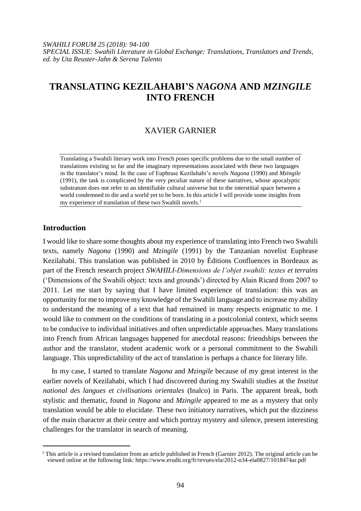*SWAHILI FORUM 25 (2018): 94-100 SPECIAL ISSUE: Swahili Literature in Global Exchange: Translations, Translators and Trends, ed. by Uta Reuster-Jahn & Serena Talento*

# **TRANSLATING KEZILAHABI'S** *NAGONA* **AND** *MZINGILE* **INTO FRENCH**

# XAVIER GARNIER

Translating a Swahili literary work into French poses specific problems due to the small number of translations existing so far and the imaginary representations associated with these two languages in the translator's mind. In the case of Euphrase Kezilahabi's novels *Nagona* (1990) and *Mzingile*  (1991), the task is complicated by the very peculiar nature of these narratives, whose apocalyptic substratum does not refer to an identifiable cultural universe but to the interstitial space between a world condemned to die and a world yet to be born. In this article I will provide some insights from my experience of translation of these two Swahili novels.<sup>1</sup>

## **Introduction**

 $\overline{\phantom{a}}$ 

I would like to share some thoughts about my experience of translating into French two Swahili texts, namely *Nagona* (1990) and *Mzingile* (1991) by the Tanzanian novelist Euphrase Kezilahabi. This translation was published in 2010 by Éditions Confluences in Bordeaux as part of the French research project *SWAHILI-Dimensions de l'objet swahili: textes et terrains* ('Dimensions of the Swahili object: texts and grounds') directed by Alain Ricard from 2007 to 2011. Let me start by saying that I have limited experience of translation: this was an opportunity for me to improve my knowledge of the Swahili language and to increase my ability to understand the meaning of a text that had remained in many respects enigmatic to me. I would like to comment on the conditions of translating in a postcolonial context, which seems to be conducive to individual initiatives and often unpredictable approaches. Many translations into French from African languages happened for anecdotal reasons: friendships between the author and the translator, student academic work or a personal commitment to the Swahili language. This unpredictability of the act of translation is perhaps a chance for literary life.

In my case, I started to translate *Nagona* and *Mzingile* because of my great interest in the earlier novels of Kezilahabi, which I had discovered during my Swahili studies at the *Institut national des langues et civilisations orientales* (Inalco) in Paris. The apparent break, both stylistic and thematic, found in *Nagona* and *Mzingile* appeared to me as a mystery that only translation would be able to elucidate. These two initiatory narratives, which put the dizziness of the main character at their centre and which portray mystery and silence, present interesting challenges for the translator in search of meaning.

<sup>&</sup>lt;sup>1</sup> This article is a revised translation from an article published in French (Garnier 2012). The original article can be viewed online at the following link: https://www.erudit.org/fr/revues/ela/2012-n34-ela0827/1018474ar.pdf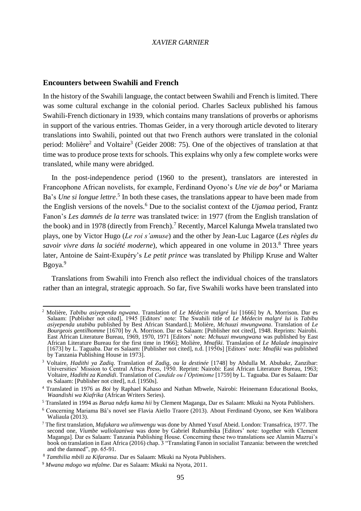### *XAVIER GARNIER*

## **Encounters between Swahili and French**

In the history of the Swahili language, the contact between Swahili and French is limited. There was some cultural exchange in the colonial period. Charles Sacleux published his famous Swahili-French dictionary in 1939, which contains many translations of proverbs or aphorisms in support of the various entries. Thomas Geider, in a very thorough article devoted to literary translations into Swahili, pointed out that two French authors were translated in the colonial period: Molière<sup>2</sup> and Voltaire<sup>3</sup> (Geider 2008: 75). One of the objectives of translation at that time was to produce prose texts for schools. This explains why only a few complete works were translated, while many were abridged.

In the post-independence period (1960 to the present), translators are interested in Francophone African novelists, for example, Ferdinand Oyono's *Une vie de boy*<sup>4</sup> or Mariama Ba's *Une si longue lettre*.<sup>5</sup> In both these cases, the translations appear to have been made from the English versions of the novels.<sup>6</sup> Due to the socialist context of the *Ujamaa* period, Frantz Fanon's *Les damnés de la terre* was translated twice: in 1977 (from the English translation of the book) and in 1978 (directly from French).<sup>7</sup> Recently, Marcel Kalunga Mwela translated two plays, one by Victor Hugo (*Le roi s'amuse*) and the other by Jean-Luc Lagarce (*Les règles du savoir vivre dans la société moderne*), which appeared in one volume in 2013.<sup>8</sup> Three years later, Antoine de Saint-Exupéry's *Le petit prince* was translated by Philipp Kruse and Walter Bgoya.<sup>9</sup>

Translations from Swahili into French also reflect the individual choices of the translators rather than an integral, strategic approach. So far, five Swahili works have been translated into

 $\overline{a}$ <sup>2</sup> Molière, *Tabibu asiyependa ngwana*. Translation of *Le Médecin malgré lui* [1666] by A. Morrison. Dar es Salaam: [Publisher not cited], 1945 [Editors' note: The Swahili title of *Le Médecin malgré lui* is *Tabibu asiyependa utabibu* published by Best African Standard.]; Molière, *Mchuuzi mwungwana*. Translation of *Le Bourgeois gentilhomme* [1670] by A. Morrison. Dar es Salaam: [Publisher not cited], 1948. Reprints: Nairobi. East African Literature Bureau, 1969, 1970, 1971 [Editors' note: *Mchuuzi mwungwana* was published by East African Literature Bureau for the first time in 1966]; Molière, *Mnafiki*. Translation of *Le Malade imaginaire* [1673] by L. Taguaba. Dar es Salaam: [Publisher not cited], n.d. [1950s] [Editors' note: *Mnafiki* was published by Tanzania Publishing House in 1973].

<sup>3</sup> Voltaire, *Hadithi ya Zadiq*. Translation of *Zadig, ou la destinée* [1748] by Abdulla M. Abubakr, Zanzibar: Universities' Mission to Central Africa Press, 1950. Reprint: Nairobi: East African Literature Bureau, 1963; Voltaire, *Hadithi za Kandidi*. Translation of *Candide ou l'Optimisme* [1759] by L. Taguaba. Dar es Salaam: Dar es Salaam: [Publisher not cited], n.d. [1950s].

<sup>4</sup> Translated in 1976 as *Boi* by Raphael Kahaso and Nathan Mbwele, Nairobi: Heinemann Educational Books, *Waandishi wa Kiafrika* (African Writers Series).

<sup>5</sup> Translated in 1994 as *Barua ndefu kama hii* by Clement Maganga, Dar es Salaam: Mkuki na Nyota Publishers.

<sup>6</sup> Concerning Mariama Bâ's novel see Flavia Aiello Traore (2013). About Ferdinand Oyono, see Ken Walibora Waliaula (2013).

<sup>7</sup> The first translation, *Mafukara wa ulimwengu* was done by Ahmed Yusuf Abeid. London: Transafrica, 1977. The second one, *Viumbe waliolaaniwa* was done by Gabriel Ruhumbika [Editors' note: together with Clement Maganga]. Dar es Salaam: Tanzania Publishing House. Concerning these two translations see Alamin Mazrui's book on translation in East Africa (2016) chap. 3 "Translating Fanon in socialist Tanzania: between the wretched and the damned", pp. 65-91.

<sup>8</sup> *Tamthilia mbili za Kifaransa*. Dar es Salaam: Mkuki na Nyota Publishers.

<sup>9</sup> *Mwana mdogo wa mfalme*. Dar es Salaam: Mkuki na Nyota, 2011.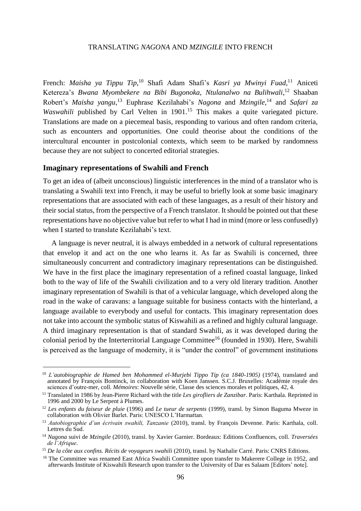### TRANSLATING *NAGONA* AND *MZINGILE* INTO FRENCH

French: *Maisha ya Tippu Tip*, <sup>10</sup> Shafi Adam Shafi's *Kasri ya Mwinyi Fuad,*<sup>11</sup> Aniceti Ketereza's Bwana Myombekere na Bibi Bugonoka, Ntulanalwo na Bulihwali,<sup>12</sup> Shaaban Robert's *Maisha yangu*, <sup>13</sup> Euphrase Kezilahabi's *Nagona* and *Mzingile*, <sup>14</sup> and *Safari za Waswahili* published by Carl Velten in 1901.<sup>15</sup> This makes a quite variegated picture. Translations are made on a piecemeal basis, responding to various and often random criteria, such as encounters and opportunities. One could theorise about the conditions of the intercultural encounter in postcolonial contexts, which seem to be marked by randomness because they are not subject to concerted editorial strategies.

# **Imaginary representations of Swahili and French**

 $\overline{\phantom{a}}$ 

To get an idea of (albeit unconscious) linguistic interferences in the mind of a translator who is translating a Swahili text into French, it may be useful to briefly look at some basic imaginary representations that are associated with each of these languages, as a result of their history and their social status, from the perspective of a French translator. It should be pointed out that these representations have no objective value but refer to what I had in mind (more or less confusedly) when I started to translate Kezilahabi's text.

A language is never neutral, it is always embedded in a network of cultural representations that envelop it and act on the one who learns it. As far as Swahili is concerned, three simultaneously concurrent and contradictory imaginary representations can be distinguished. We have in the first place the imaginary representation of a refined coastal language, linked both to the way of life of the Swahili civilization and to a very old literary tradition. Another imaginary representation of Swahili is that of a vehicular language, which developed along the road in the wake of caravans: a language suitable for business contacts with the hinterland, a language available to everybody and useful for contacts. This imaginary representation does not take into account the symbolic status of Kiswahili as a refined and highly cultural language. A third imaginary representation is that of standard Swahili, as it was developed during the colonial period by the Interterritorial Language Committee<sup>16</sup> (founded in 1930). Here, Swahili is perceived as the language of modernity, it is "under the control" of government institutions

<sup>10</sup> *L'autobiographie de Hamed ben Mohammed el-Murjebi Tippo Tip (ca 1840-1905)* (1974), translated and annotated by François Bontinck, in collaboration with Koen Janssen. S.C.J. Bruxelles: Académie royale des sciences d'outre-mer, coll. *Mémoires*: Nouvelle série, Classe des sciences morales et politiques, 42, 4.

<sup>11</sup> Translated in 1986 by Jean-Pierre Richard with the title *Les girofliers de Zanzibar*. Paris: Karthala. Reprinted in 1996 and 2000 by Le Serpent à Plumes.

<sup>12</sup> *Les enfants du faiseur de pluie* (1996) and *Le tueur de serpents* (1999), transl. by Simon Baguma Mweze in collaboration with Olivier Barlet. Paris: UNESCO L'Harmattan.

<sup>13</sup> *Autobiographie d'un écrivain swahili, Tanzanie* (2010), transl. by François Devenne. Paris: Karthala, coll. Lettres du Sud.

<sup>14</sup> *Nagona* suivi de *Mzingile* (2010), transl. by Xavier Garnier. Bordeaux: Editions Confluences, coll. *Traversées de l'Afrique*.

<sup>&</sup>lt;sup>15</sup> *De la côte aux confins. Récits de voyageurs swahili* (2010), transl. by Nathalie Carré. Paris: CNRS Editions.

<sup>&</sup>lt;sup>16</sup> The Committee was renamed East Africa Swahili Committee upon transfer to Makerere College in 1952, and afterwards Institute of Kiswahili Research upon transfer to the University of Dar es Salaam [Editors' note].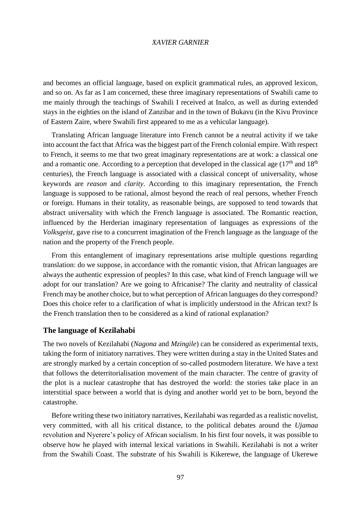#### *XAVIER GARNIER*

and becomes an official language, based on explicit grammatical rules, an approved lexicon, and so on. As far as I am concerned, these three imaginary representations of Swahili came to me mainly through the teachings of Swahili I received at Inalco, as well as during extended stays in the eighties on the island of Zanzibar and in the town of Bukavu (in the Kivu Province of Eastern Zaire, where Swahili first appeared to me as a vehicular language).

Translating African language literature into French cannot be a neutral activity if we take into account the fact that Africa was the biggest part of the French colonial empire. With respect to French, it seems to me that two great imaginary representations are at work: a classical one and a romantic one. According to a perception that developed in the classical age  $(17<sup>th</sup>$  and  $18<sup>th</sup>$ centuries), the French language is associated with a classical concept of universality, whose keywords are *reason* and *clarity*. According to this imaginary representation, the French language is supposed to be rational, almost beyond the reach of real persons, whether French or foreign. Humans in their totality, as reasonable beings, are supposed to tend towards that abstract universality with which the French language is associated. The Romantic reaction, influenced by the Herderian imaginary representation of languages as expressions of the *Volksgeist*, gave rise to a concurrent imagination of the French language as the language of the nation and the property of the French people.

From this entanglement of imaginary representations arise multiple questions regarding translation: do we suppose, in accordance with the romantic vision, that African languages are always the authentic expression of peoples? In this case, what kind of French language will we adopt for our translation? Are we going to Africanise? The clarity and neutrality of classical French may be another choice, but to what perception of African languages do they correspond? Does this choice refer to a clarification of what is implicitly understood in the African text? Is the French translation then to be considered as a kind of rational explanation?

# **The language of Kezilahabi**

The two novels of Kezilahabi (*Nagona* and *Mzingile*) can be considered as experimental texts, taking the form of initiatory narratives. They were written during a stay in the United States and are strongly marked by a certain conception of so-called postmodern literature. We have a text that follows the deterritorialisation movement of the main character. The centre of gravity of the plot is a nuclear catastrophe that has destroyed the world: the stories take place in an interstitial space between a world that is dying and another world yet to be born, beyond the catastrophe.

Before writing these two initiatory narratives, Kezilahabi was regarded as a realistic novelist, very committed, with all his critical distance, to the political debates around the *Ujamaa* revolution and Nyerere's policy of African socialism. In his first four novels, it was possible to observe how he played with internal lexical variations in Swahili. Kezilahabi is not a writer from the Swahili Coast. The substrate of his Swahili is Kikerewe, the language of Ukerewe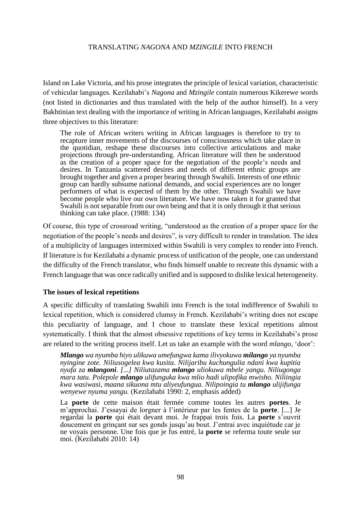## TRANSLATING *NAGONA* AND *MZINGILE* INTO FRENCH

Island on Lake Victoria, and his prose integrates the principle of lexical variation, characteristic of vehicular languages. Kezilahabi's *Nagona* and *Mzingile* contain numerous Kikerewe words (not listed in dictionaries and thus translated with the help of the author himself). In a very Bakhtinian text dealing with the importance of writing in African languages, Kezilahabi assigns three objectives to this literature:

The role of African writers writing in African languages is therefore to try to recapture inner movements of the discourses of consciousness which take place in the quotidian, reshape these discourses into collective articulations and make projections through pre-understanding. African literature will then be understood as the creation of a proper space for the negotiation of the people's needs and desires. In Tanzania scattered desires and needs of different ethnic groups are brought together and given a proper bearing through Swahili. Interests of one ethnic group can hardly subsume national demands, and social experiences are no longer performers of what is expected of them by the other. Through Swahili we have become people who live our own literature. We have now taken it for granted that Swahili is not separable from our own being and that it is only through it that serious thinking can take place. (1988: 134)

Of course, this type of crossroad writing, "understood as the creation of a proper space for the negotiation of the people's needs and desires", is very difficult to render in translation. The idea of a multiplicity of languages intermixed within Swahili is very complex to render into French. If literature is for Kezilahabi a dynamic process of unification of the people, one can understand the difficulty of the French translator, who finds himself unable to recreate this dynamic with a French language that was once radically unified and is supposed to dislike lexical heterogeneity.

## **The issues of lexical repetitions**

A specific difficulty of translating Swahili into French is the total indifference of Swahili to lexical repetition, which is considered clumsy in French. Kezilahabi's writing does not escape this peculiarity of language, and I chose to translate these lexical repetitions almost systematically. I think that the almost obsessive repetitions of key terms in Kezilahabi's prose are related to the writing process itself. Let us take an example with the word *mlango*, 'door':

*Mlango wa nyumba hiyo ulikuwa umefungwa kama ilivyokuwa milango ya nyumba nyingine zote. Niliusogelea kwa kusita. Nilijaribu kuchungulia ndani kwa kupitia nyufa za mlangoni. [...] Niliutazama mlango uliokuwa mbele yangu. Niliugonga mara tatu. Polepole mlango ulifunguka kwa mlio hadi ulipofika mwisho. Niliingia kwa wasiwasi, maana sikuona mtu aliyeufungua. Nilipoingia tu mlango ulijifunga wenyewe nyuma yangu.* (Kezilahabi 1990: 2, emphasis added)

La **porte** de cette maison était fermée comme toutes les autres **portes**. Je m'approchai. J'essayai de lorgner à l'intérieur par les fentes de la **porte**. [...] Je regardai la **porte** qui était devant moi. Je frappai trois fois. La **porte** s'ouvrit doucement en grinçant sur ses gonds jusqu'au bout. J'entrai avec inquiétude car je ne voyais personne. Une fois que je fus entré, la **porte** se referma toute seule sur moi. (Kezilahabi 2010: 14)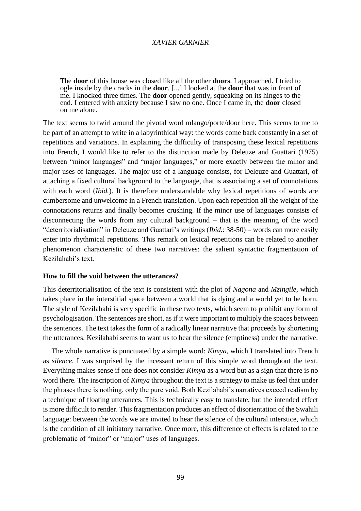## *XAVIER GARNIER*

The **door** of this house was closed like all the other **doors**. I approached. I tried to ogle inside by the cracks in the **door**. [...] I looked at the **door** that was in front of me. I knocked three times. The **door** opened gently, squeaking on its hinges to the end. I entered with anxiety because I saw no one. Once I came in, the **door** closed on me alone.

The text seems to twirl around the pivotal word mlango/porte/door here. This seems to me to be part of an attempt to write in a labyrinthical way: the words come back constantly in a set of repetitions and variations. In explaining the difficulty of transposing these lexical repetitions into French, I would like to refer to the distinction made by Deleuze and Guattari (1975) between "minor languages" and "major languages," or more exactly between the minor and major uses of languages. The major use of a language consists, for Deleuze and Guattari, of attaching a fixed cultural background to the language, that is associating a set of connotations with each word *(Ibid.)*. It is therefore understandable why lexical repetitions of words are cumbersome and unwelcome in a French translation. Upon each repetition all the weight of the connotations returns and finally becomes crushing. If the minor use of languages consists of disconnecting the words from any cultural background – that is the meaning of the word "deterritorialisation" in Deleuze and Guattari's writings (*Ibid.*: 38-50) – words can more easily enter into rhythmical repetitions. This remark on lexical repetitions can be related to another phenomenon characteristic of these two narratives: the salient syntactic fragmentation of Kezilahabi's text.

#### **How to fill the void between the utterances?**

This deterritorialisation of the text is consistent with the plot of *Nagona* and *Mzingile*, which takes place in the interstitial space between a world that is dying and a world yet to be born. The style of Kezilahabi is very specific in these two texts, which seem to prohibit any form of psychologisation. The sentences are short, as if it were important to multiply the spaces between the sentences. The text takes the form of a radically linear narrative that proceeds by shortening the utterances. Kezilahabi seems to want us to hear the silence (emptiness) under the narrative.

The whole narrative is punctuated by a simple word: *Kimya*, which I translated into French as *silence*. I was surprised by the incessant return of this simple word throughout the text. Everything makes sense if one does not consider *Kimya* as a word but as a sign that there is no word there. The inscription of *Kimya* throughout the text is a strategy to make us feel that under the phrases there is nothing, only the pure void. Both Kezilahabi's narratives exceed realism by a technique of floating utterances. This is technically easy to translate, but the intended effect is more difficult to render. This fragmentation produces an effect of disorientation of the Swahili language: between the words we are invited to hear the silence of the cultural interstice, which is the condition of all initiatory narrative. Once more, this difference of effects is related to the problematic of "minor" or "major" uses of languages.